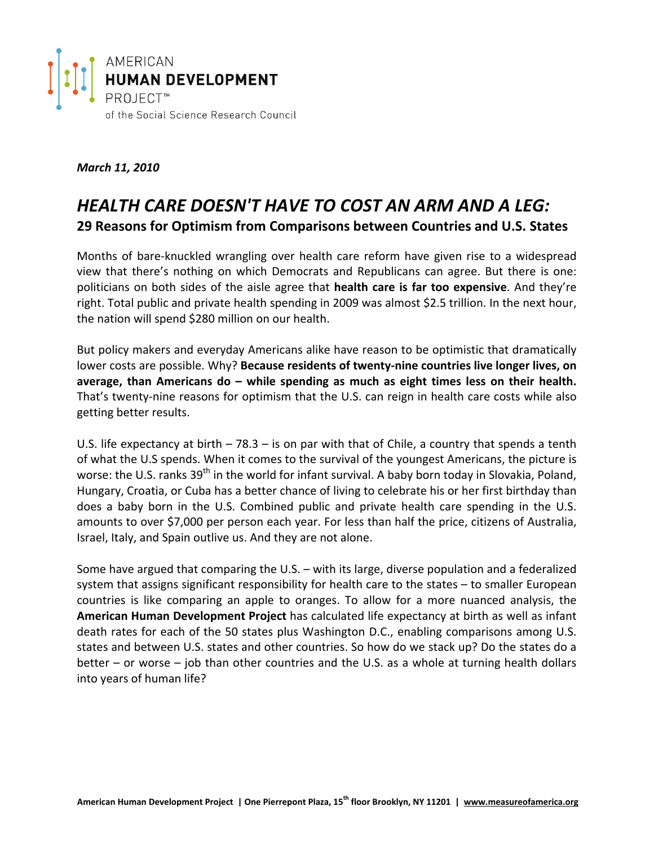

## *March 11, 2010*

# *HEALTH CARE DOESN'T HAVE TO COST AN ARM AND A LEG:* **29 Reasons for Optimism from Comparisons between Countries and U.S. States**

Months of bare‐knuckled wrangling over health care reform have given rise to a widespread view that there's nothing on which Democrats and Republicans can agree. But there is one: politicians on both sides of the aisle agree that **health care is far too expensive**. And they're right. Total public and private health spending in 2009 was almost \$2.5 trillion. In the next hour, the nation will spend \$280 million on our health.

But policy makers and everyday Americans alike have reason to be optimistic that dramatically lower costs are possible. Why? **Because residents of twenty‐nine countries live longer lives, on average, than Americans do – while spending as much as eight times less on their health.** That's twenty-nine reasons for optimism that the U.S. can reign in health care costs while also getting better results.

U.S. life expectancy at birth – 78.3 – is on par with that of Chile, a country that spends a tenth of what the U.S spends. When it comes to the survival of the youngest Americans, the picture is worse: the U.S. ranks 39<sup>th</sup> in the world for infant survival. A baby born today in Slovakia, Poland, Hungary, Croatia, or Cuba has a better chance of living to celebrate his or her first birthday than does a baby born in the U.S. Combined public and private health care spending in the U.S. amounts to over \$7,000 per person each year. For less than half the price, citizens of Australia, Israel, Italy, and Spain outlive us. And they are not alone.

Some have argued that comparing the U.S. – with its large, diverse population and a federalized system that assigns significant responsibility for health care to the states – to smaller European countries is like comparing an apple to oranges. To allow for a more nuanced analysis, the **American Human Development Project** has calculated life expectancy at birth as well as infant death rates for each of the 50 states plus Washington D.C., enabling comparisons among U.S. states and between U.S. states and other countries. So how do we stack up? Do the states do a better – or worse – job than other countries and the U.S. as a whole at turning health dollars into years of human life?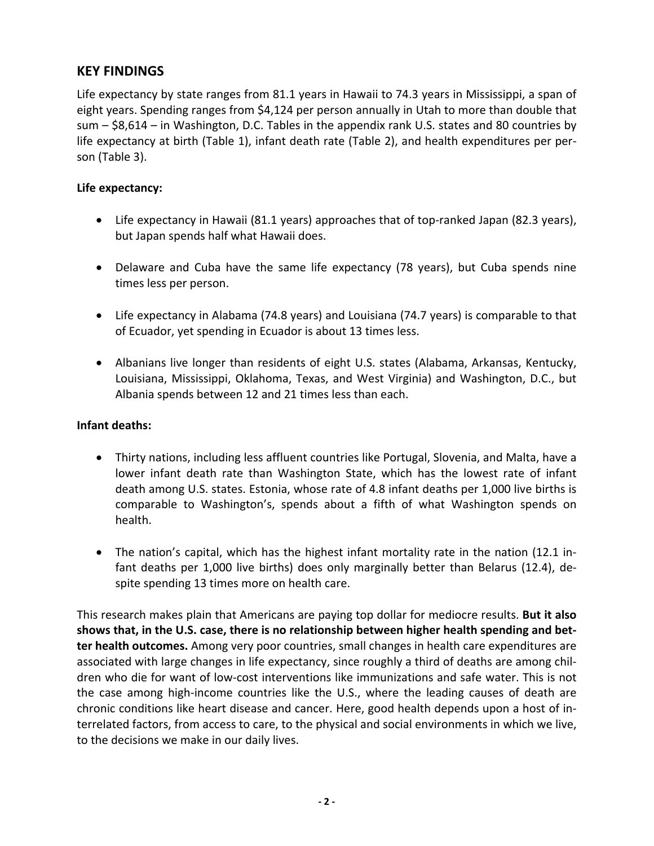## **KEY FINDINGS**

Life expectancy by state ranges from 81.1 years in Hawaii to 74.3 years in Mississippi, a span of eight years. Spending ranges from \$4,124 per person annually in Utah to more than double that sum – \$8,614 – in Washington, D.C. Tables in the appendix rank U.S. states and 80 countries by life expectancy at birth (Table 1), infant death rate (Table 2), and health expenditures per per‐ son (Table 3).

## **Life expectancy:**

- Life expectancy in Hawaii (81.1 years) approaches that of top-ranked Japan (82.3 years), but Japan spends half what Hawaii does.
- Delaware and Cuba have the same life expectancy (78 years), but Cuba spends nine times less per person.
- Life expectancy in Alabama (74.8 years) and Louisiana (74.7 years) is comparable to that of Ecuador, yet spending in Ecuador is about 13 times less.
- Albanians live longer than residents of eight U.S. states (Alabama, Arkansas, Kentucky, Louisiana, Mississippi, Oklahoma, Texas, and West Virginia) and Washington, D.C., but Albania spends between 12 and 21 times less than each.

## **Infant deaths:**

- Thirty nations, including less affluent countries like Portugal, Slovenia, and Malta, have a lower infant death rate than Washington State, which has the lowest rate of infant death among U.S. states. Estonia, whose rate of 4.8 infant deaths per 1,000 live births is comparable to Washington's, spends about a fifth of what Washington spends on health.
- The nation's capital, which has the highest infant mortality rate in the nation (12.1 in‐ fant deaths per 1,000 live births) does only marginally better than Belarus (12.4), de‐ spite spending 13 times more on health care.

This research makes plain that Americans are paying top dollar for mediocre results. **But it also shows that, in the U.S. case, there is no relationship between higher health spending and bet‐ ter health outcomes.** Among very poor countries, small changes in health care expenditures are associated with large changes in life expectancy, since roughly a third of deaths are among chil‐ dren who die for want of low‐cost interventions like immunizations and safe water. This is not the case among high-income countries like the U.S., where the leading causes of death are chronic conditions like heart disease and cancer. Here, good health depends upon a host of in‐ terrelated factors, from access to care, to the physical and social environments in which we live, to the decisions we make in our daily lives.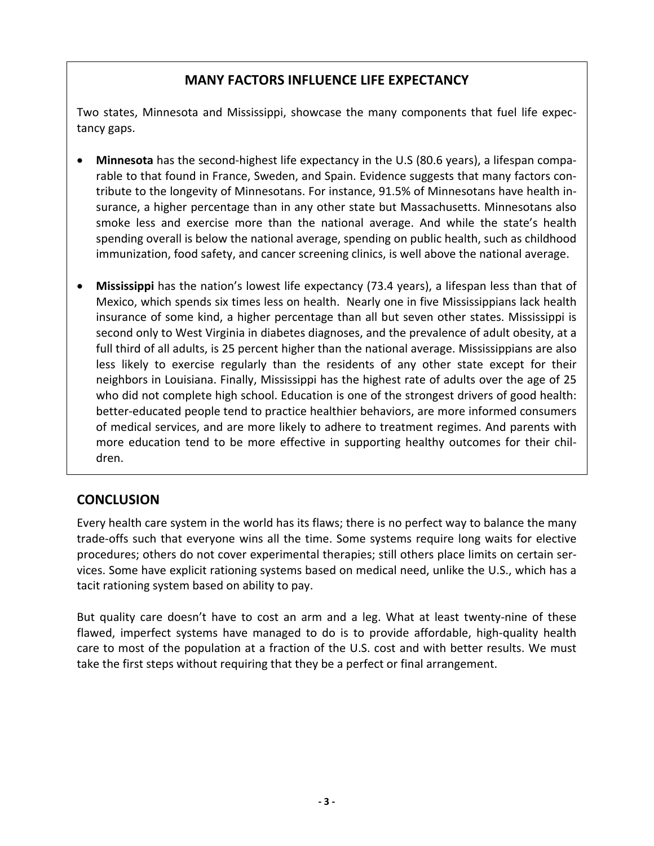## **MANY FACTORS INFLUENCE LIFE EXPECTANCY**

Two states, Minnesota and Mississippi, showcase the many components that fuel life expec‐ tancy gaps.

- **Minnesota** has the second-highest life expectancy in the U.S (80.6 years), a lifespan comparable to that found in France, Sweden, and Spain. Evidence suggests that many factors con‐ tribute to the longevity of Minnesotans. For instance, 91.5% of Minnesotans have health in‐ surance, a higher percentage than in any other state but Massachusetts. Minnesotans also smoke less and exercise more than the national average. And while the state's health spending overall is below the national average, spending on public health, such as childhood immunization, food safety, and cancer screening clinics, is well above the national average.
- **Mississippi** has the nation's lowest life expectancy (73.4 years), a lifespan less than that of Mexico, which spends six times less on health. Nearly one in five Mississippians lack health insurance of some kind, a higher percentage than all but seven other states. Mississippi is second only to West Virginia in diabetes diagnoses, and the prevalence of adult obesity, at a full third of all adults, is 25 percent higher than the national average. Mississippians are also less likely to exercise regularly than the residents of any other state except for their neighbors in Louisiana. Finally, Mississippi has the highest rate of adults over the age of 25 who did not complete high school. Education is one of the strongest drivers of good health: better-educated people tend to practice healthier behaviors, are more informed consumers of medical services, and are more likely to adhere to treatment regimes. And parents with more education tend to be more effective in supporting healthy outcomes for their children.

## **CONCLUSION**

Every health care system in the world has its flaws; there is no perfect way to balance the many trade‐offs such that everyone wins all the time. Some systems require long waits for elective procedures; others do not cover experimental therapies; still others place limits on certain ser‐ vices. Some have explicit rationing systems based on medical need, unlike the U.S., which has a tacit rationing system based on ability to pay.

But quality care doesn't have to cost an arm and a leg. What at least twenty-nine of these flawed, imperfect systems have managed to do is to provide affordable, high‐quality health care to most of the population at a fraction of the U.S. cost and with better results. We must take the first steps without requiring that they be a perfect or final arrangement.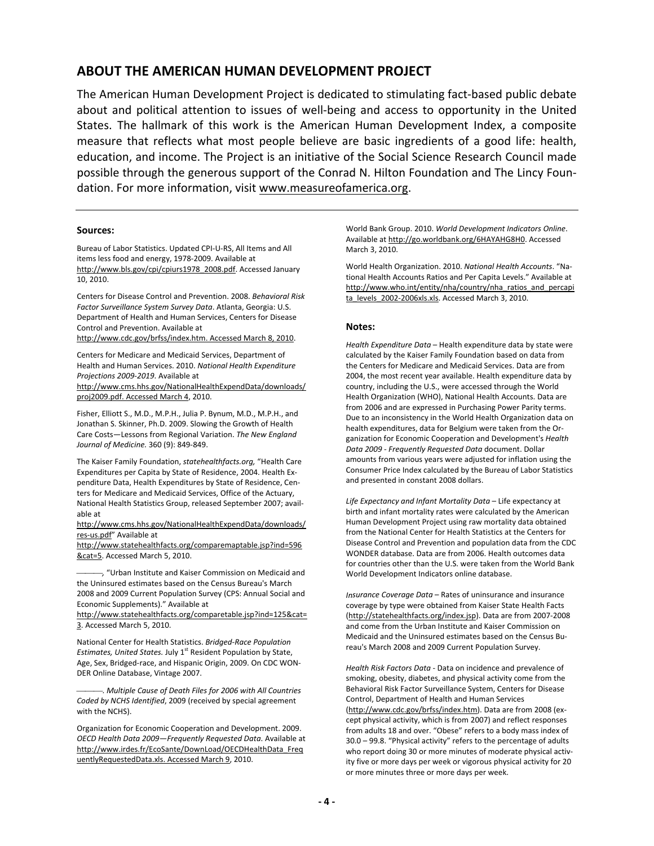### **ABOUT THE AMERICAN HUMAN DEVELOPMENT PROJECT**

The American Human Development Project is dedicated to stimulating fact‐based public debate about and political attention to issues of well‐being and access to opportunity in the United States. The hallmark of this work is the American Human Development Index, a composite measure that reflects what most people believe are basic ingredients of a good life: health, education, and income. The Project is an initiative of the Social Science Research Council made possible through the generous support of the Conrad N. Hilton Foundation and The Lincy Foun‐ dation. For more information, visit [www.measureofamerica.org](http://www.measureofamerica.org/).

#### **Sources:**

Bureau of Labor Statistics. Updated CPI‐U‐RS, All Items and All items less food and energy, 1978‐2009. Available at [http://www.bls.gov/cpi/cpiurs1978\\_2008.pdf](http://www.bls.gov/cpi/cpiurs1978_2008.pdf). Accessed January 10, 2010.

Centers for Disease Control and Prevention. 2008. *Behavioral Risk Factor Surveillance System Survey Data*. Atlanta, Georgia: U.S. Department of Health and Human Services, Centers for Disease Control and Prevention. Available at

[http://www.cdc.gov/brfss/index.htm.](http://www.cdc.gov/brfss/index.htm.%20Accessed%20March%208) Accessed March 8, 2010.

Centers for Medicare and Medicaid Services, Department of Health and Human Services. 2010. *National Health Expenditure Projections 2009‐2019*. Available at [http://www.cms.hhs.gov/NationalHealthExpendData/downloads/](http://www.cms.hhs.gov/NationalHealthExpendData/downloads/proj2009.pdf.%20Accessed%20March%204)

[proj2009.pdf.](http://www.cms.hhs.gov/NationalHealthExpendData/downloads/proj2009.pdf.%20Accessed%20March%204) Accessed March 4, 2010.

Fisher, Elliott S., M.D., M.P.H., Julia P. Bynum, M.D., M.P.H., and Jonathan S. Skinner, Ph.D. 2009. Slowing the Growth of Health Care Costs—Lessons from Regional Variation. *The New England Journal of Medicine.* 360 (9): 849‐849.

The Kaiser Family Foundation, *statehealthfacts.org,* "Health Care Expenditures per Capita by State of Residence, 2004. Health Ex‐ penditure Data, Health Expenditures by State of Residence, Cen‐ ters for Medicare and Medicaid Services, Office of the Actuary, National Health Statistics Group, released September 2007; avail‐ able at

[http://www.cms.hhs.gov/NationalHealthExpendData/downloads/](http://www.cms.hhs.gov/NationalHealthExpendData/downloads/res-us.pdf) res‐[us.pdf](http://www.cms.hhs.gov/NationalHealthExpendData/downloads/res-us.pdf)" Available at

[http://www.statehealthfacts.org/comparemaptable.jsp?ind=596](http://www.statehealthfacts.org/comparemaptable.jsp?ind=596&cat=5) [&cat=5](http://www.statehealthfacts.org/comparemaptable.jsp?ind=596&cat=5). Accessed March 5, 2010.

*,* "Urban Institute and Kaiser Commission on Medicaid and the Uninsured estimates based on the Census Bureau's March 2008 and 2009 Current Population Survey (CPS: Annual Social and Economic Supplements)." Available at

[http://www.statehealthfacts.org/comparetable.jsp?ind=125&cat=](http://www.statehealthfacts.org/comparetable.jsp?ind=125&cat=3) [3](http://www.statehealthfacts.org/comparetable.jsp?ind=125&cat=3). Accessed March 5, 2010.

National Center for Health Statistics. *Bridged‐Race Population* Estimates, United States. July 1<sup>st</sup> Resident Population by State, Age, Sex, Bridged‐race, and Hispanic Origin, 2009. On CDC WON‐ DER Online Database, Vintage 2007.

. *Multiple Cause of Death Files for 2006 with All Countries Coded by NCHS Identified*, 2009 (received by special agreement with the NCHS).

Organization for Economic Cooperation and Development. 2009. *OECD Health Data 2009—Frequently Requested Data*. Available at [http://www.irdes.fr/EcoSante/DownLoad/OECDHealthData\\_Freq](http://www.irdes.fr/EcoSante/DownLoad/OECDHealthData_FrequentlyRequestedData.xls.%20Accessed%20March%209) [uentlyRequestedData.xls.](http://www.irdes.fr/EcoSante/DownLoad/OECDHealthData_FrequentlyRequestedData.xls.%20Accessed%20March%209) Accessed March 9, 2010.

World Bank Group. 2010. *World Development Indicators Online*. Available at [http://go.worldbank.org/6HAYAHG8H0.](http://go.worldbank.org/6HAYAHG8H0) Accessed March 3, 2010.

World Health Organization. 2010. *National Health Accounts*. "Na‐ tional Health Accounts Ratios and Per Capita Levels." Available at [http://www.who.int/entity/nha/country/nha\\_ratios\\_and\\_percapi](http://www.who.int/entity/nha/country/nha_ratios_and_percapita_levels_2002-2006xls.xls) [ta\\_levels\\_2002](http://www.who.int/entity/nha/country/nha_ratios_and_percapita_levels_2002-2006xls.xls)-2006xls.xls. Accessed March 3, 2010.

#### **Notes:**

*Health Expenditure Data* – Health expenditure data by state were calculated by the Kaiser Family Foundation based on data from the Centers for Medicare and Medicaid Services. Data are from 2004, the most recent year available. Health expenditure data by country, including the U.S., were accessed through the World Health Organization (WHO), National Health Accounts. Data are from 2006 and are expressed in Purchasing Power Parity terms. Due to an inconsistency in the World Health Organization data on health expenditures, data for Belgium were taken from the Or‐ ganization for Economic Cooperation and Development's *Health Data 2009 ‐ Frequently Requested Data* document. Dollar amounts from various years were adjusted for inflation using the Consumer Price Index calculated by the Bureau of Labor Statistics and presented in constant 2008 dollars.

*Life Expectancy and Infant Mortality Data* – Life expectancy at birth and infant mortality rates were calculated by the American Human Development Project using raw mortality data obtained from the National Center for Health Statistics at the Centers for Disease Control and Prevention and population data from the CDC WONDER database. Data are from 2006. Health outcomes data for countries other than the U.S. were taken from the World Bank World Development Indicators online database.

*Insurance Coverage Data* – Rates of uninsurance and insurance coverage by type were obtained from Kaiser State Health Facts [\(http://statehealthfacts.org/index.jsp\)](http://statehealthfacts.org/index.jsp). Data are from 2007‐2008 and come from the Urban Institute and Kaiser Commission on Medicaid and the Uninsured estimates based on the Census Bu‐ reau's March 2008 and 2009 Current Population Survey.

*Health Risk Factors Data* ‐ Data on incidence and prevalence of smoking, obesity, diabetes, and physical activity come from the Behavioral Risk Factor Surveillance System, Centers for Disease Control, Department of Health and Human Services [\(http://www.cdc.gov/brfss/index.htm](http://www.cdc.gov/brfss/index.htm)). Data are from 2008 (ex‐ cept physical activity, which is from 2007) and reflect responses from adults 18 and over. "Obese" refers to a body mass index of 30.0 – 99.8. "Physical activity" refers to the percentage of adults who report doing 30 or more minutes of moderate physical activity five or more days per week or vigorous physical activity for 20 or more minutes three or more days per week.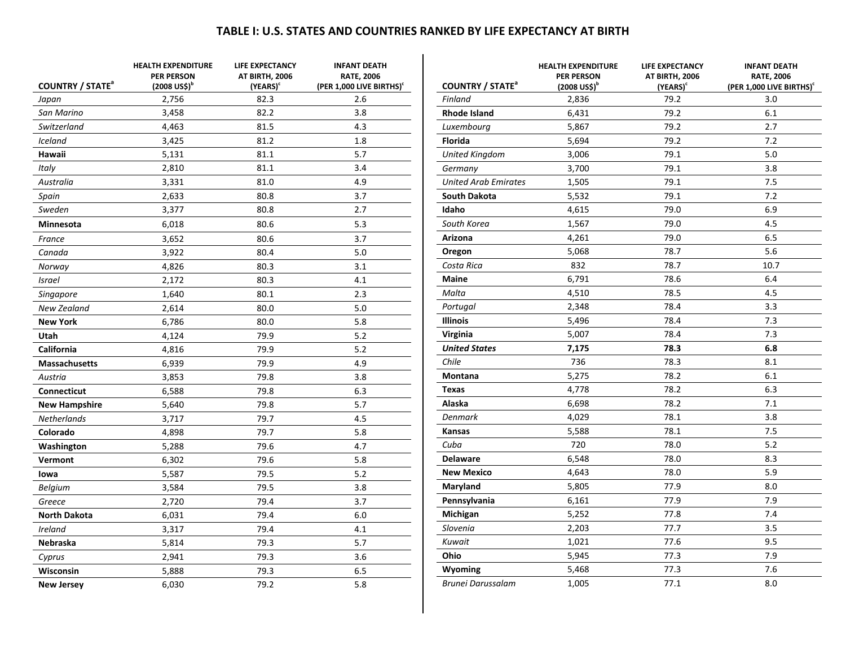### **TABLE I: U.S. STATES AND COUNTRIES RANKED BY LIFE EXPECTANCY AT BIRTH**

| <b>COUNTRY / STATE</b> <sup>a</sup> | <b>HEALTH EXPENDITURE</b><br><b>PER PERSON</b><br>$(2008 \text{ USS})^b$ | LIFE EXPECTANCY<br>AT BIRTH, 2006<br>$(YEARS)^c$ | <b>INFANT DEATH</b><br><b>RATE, 2006</b><br>(PER 1,000 LIVE BIRTHS) <sup>c</sup> |
|-------------------------------------|--------------------------------------------------------------------------|--------------------------------------------------|----------------------------------------------------------------------------------|
| Japan                               | 2,756                                                                    | 82.3                                             | 2.6                                                                              |
| San Marino                          | 3,458                                                                    | 82.2                                             | 3.8                                                                              |
| Switzerland                         | 4,463                                                                    | 81.5                                             | 4.3                                                                              |
| <b>Iceland</b>                      | 3,425                                                                    | 81.2                                             | 1.8                                                                              |
| Hawaii                              | 5,131                                                                    | 81.1                                             | 5.7                                                                              |
| Italy                               | 2,810                                                                    | 81.1                                             | 3.4                                                                              |
| Australia                           | 3,331                                                                    | 81.0                                             | 4.9                                                                              |
| Spain                               | 2,633                                                                    | 80.8                                             | 3.7                                                                              |
| Sweden                              | 3,377                                                                    | 80.8                                             | 2.7                                                                              |
| Minnesota                           | 6,018                                                                    | 80.6                                             | 5.3                                                                              |
| France                              | 3,652                                                                    | 80.6                                             | 3.7                                                                              |
| Canada                              | 3,922                                                                    | 80.4                                             | 5.0                                                                              |
| Norway                              | 4,826                                                                    | 80.3                                             | 3.1                                                                              |
| Israel                              | 2,172                                                                    | 80.3                                             | 4.1                                                                              |
| Singapore                           | 1,640                                                                    | 80.1                                             | 2.3                                                                              |
| New Zealand                         | 2,614                                                                    | 80.0                                             | 5.0                                                                              |
| <b>New York</b>                     | 6,786                                                                    | 80.0                                             | 5.8                                                                              |
| Utah                                | 4,124                                                                    | 79.9                                             | 5.2                                                                              |
| California                          | 4,816                                                                    | 79.9                                             | 5.2                                                                              |
| <b>Massachusetts</b>                | 6,939                                                                    | 79.9                                             | 4.9                                                                              |
| Austria                             | 3,853                                                                    | 79.8                                             | 3.8                                                                              |
| <b>Connecticut</b>                  | 6,588                                                                    | 79.8                                             | 6.3                                                                              |
| <b>New Hampshire</b>                | 5,640                                                                    | 79.8                                             | 5.7                                                                              |
| Netherlands                         | 3,717                                                                    | 79.7                                             | 4.5                                                                              |
| Colorado                            | 4,898                                                                    | 79.7                                             | 5.8                                                                              |
| Washington                          | 5,288                                                                    | 79.6                                             | 4.7                                                                              |
| Vermont                             | 6,302                                                                    | 79.6                                             | 5.8                                                                              |
| lowa                                | 5,587                                                                    | 79.5                                             | 5.2                                                                              |
| <b>Belgium</b>                      | 3,584                                                                    | 79.5                                             | 3.8                                                                              |
| Greece                              | 2,720                                                                    | 79.4                                             | 3.7                                                                              |
| <b>North Dakota</b>                 | 6,031                                                                    | 79.4                                             | 6.0                                                                              |
| Ireland                             | 3,317                                                                    | 79.4                                             | 4.1                                                                              |
| Nebraska                            | 5,814                                                                    | 79.3                                             | 5.7                                                                              |
| Cyprus                              | 2,941                                                                    | 79.3                                             | 3.6                                                                              |
| Wisconsin                           | 5,888                                                                    | 79.3                                             | 6.5                                                                              |
| <b>New Jersey</b>                   | 6,030                                                                    | 79.2                                             | 5.8                                                                              |

| <b>COUNTRY / STATE<sup>a</sup></b> | <b>HEALTH EXPENDITURE</b><br><b>PER PERSON</b><br>$(2008 \text{ USS})^{\text{D}}$ | LIFE EXPECTANCY<br>AT BIRTH, 2006<br>(YEARS) <sup>c</sup> | <b>INFANT DEATH</b><br><b>RATE, 2006</b><br>(PER 1,000 LIVE BIRTHS) <sup>c</sup> |
|------------------------------------|-----------------------------------------------------------------------------------|-----------------------------------------------------------|----------------------------------------------------------------------------------|
| Finland                            | 2,836                                                                             | 79.2                                                      | 3.0                                                                              |
| <b>Rhode Island</b>                | 6,431                                                                             | 79.2                                                      | 6.1                                                                              |
| Luxembourg                         | 5,867                                                                             | 79.2                                                      | 2.7                                                                              |
| <b>Florida</b>                     | 5,694                                                                             | 79.2                                                      | 7.2                                                                              |
| <b>United Kingdom</b>              | 3,006                                                                             | 79.1                                                      | 5.0                                                                              |
| Germany                            | 3,700                                                                             | 79.1                                                      | 3.8                                                                              |
| <b>United Arab Emirates</b>        | 1,505                                                                             | 79.1                                                      | 7.5                                                                              |
| <b>South Dakota</b>                | 5,532                                                                             | 79.1                                                      | 7.2                                                                              |
| Idaho                              | 4,615                                                                             | 79.0                                                      | 6.9                                                                              |
| South Korea                        | 1,567                                                                             | 79.0                                                      | 4.5                                                                              |
| Arizona                            | 4,261                                                                             | 79.0                                                      | 6.5                                                                              |
| Oregon                             | 5,068                                                                             | 78.7                                                      | 5.6                                                                              |
| Costa Rica                         | 832                                                                               | 78.7                                                      | 10.7                                                                             |
| <b>Maine</b>                       | 6,791                                                                             | 78.6                                                      | 6.4                                                                              |
| Malta                              | 4,510                                                                             | 78.5                                                      | 4.5                                                                              |
| Portugal                           | 2,348                                                                             | 78.4                                                      | 3.3                                                                              |
| <b>Illinois</b>                    | 5,496                                                                             | 78.4                                                      | 7.3                                                                              |
| Virginia                           | 5,007                                                                             | 78.4                                                      | 7.3                                                                              |
| <b>United States</b>               | 7,175                                                                             | 78.3                                                      | 6.8                                                                              |
| Chile                              | 736                                                                               | 78.3                                                      | 8.1                                                                              |
| Montana                            | 5,275                                                                             | 78.2                                                      | 6.1                                                                              |
| <b>Texas</b>                       | 4,778                                                                             | 78.2                                                      | 6.3                                                                              |
| Alaska                             | 6,698                                                                             | 78.2                                                      | 7.1                                                                              |
| <b>Denmark</b>                     | 4,029                                                                             | 78.1                                                      | 3.8                                                                              |
| Kansas                             | 5,588                                                                             | 78.1                                                      | 7.5                                                                              |
| Cuba                               | 720                                                                               | 78.0                                                      | 5.2                                                                              |
| <b>Delaware</b>                    | 6,548                                                                             | 78.0                                                      | 8.3                                                                              |
| <b>New Mexico</b>                  | 4,643                                                                             | 78.0                                                      | 5.9                                                                              |
| Maryland                           | 5,805                                                                             | 77.9                                                      | 8.0                                                                              |
| Pennsylvania                       | 6,161                                                                             | 77.9                                                      | 7.9                                                                              |
| Michigan                           | 5,252                                                                             | 77.8                                                      | 7.4                                                                              |
| Slovenia                           | 2,203                                                                             | 77.7                                                      | 3.5                                                                              |
| Kuwait                             | 1,021                                                                             | 77.6                                                      | 9.5                                                                              |
| Ohio                               | 5,945                                                                             | 77.3                                                      | 7.9                                                                              |
| Wyoming                            | 5,468                                                                             | 77.3                                                      | 7.6                                                                              |
| Brunei Darussalam                  | 1,005                                                                             | 77.1                                                      | 8.0                                                                              |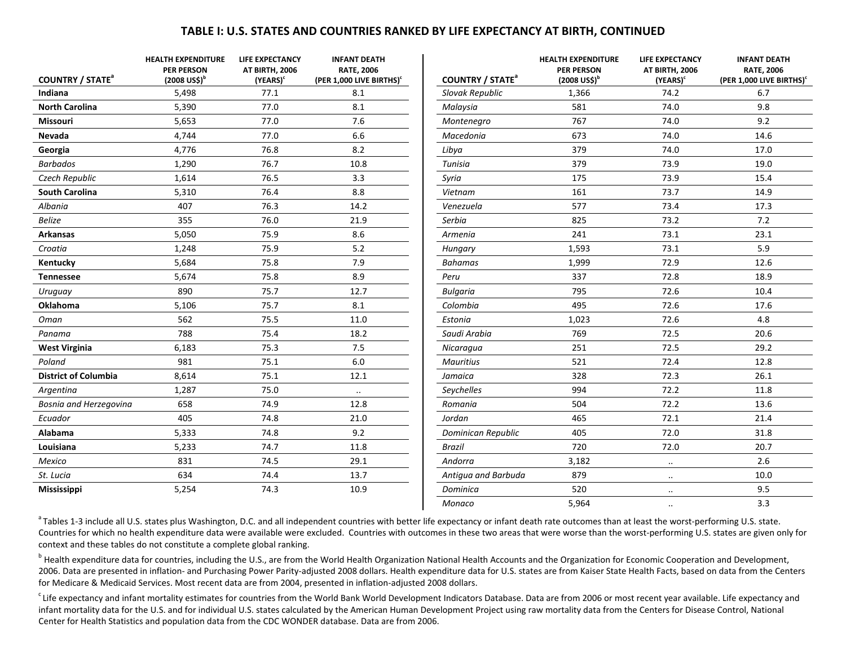### **TABLE I: U.S. STATES AND COUNTRIES RANKED BY LIFE EXPECTANCY AT BIRTH, CONTINUED**

**INFANT DEATHRATE, 2006 (PER 1,000 LIVE BIRTHS)<sup>c</sup>**

| <b>COUNTRY / STATE<sup>a</sup></b> | <b>HEALTH EXPENDITURE</b><br><b>PER PERSON</b><br>$(2008 \text{ US}$ \$) <sup>b</sup> | <b>LIFE EXPECTANCY</b><br>AT BIRTH, 2006<br>(YEARS) <sup>c</sup> | <b>INFANT DEATH</b><br><b>RATE, 2006</b><br>(PER 1,000 LIVE BIRTHS) <sup>c</sup> | <b>COUNTRY / STATE<sup>a</sup></b> | <b>HEALTH EXPENDITURE</b><br><b>PER PERSON</b><br>$(2008 \text{ US}^{\text{th}})^b$ | <b>LIFE EXPECTANCY</b><br>AT BIRTH, 2006<br>(YEARS) <sup>c</sup> | <b>INFANT D</b><br>RATE, 2<br>(PER 1,000 LIV |
|------------------------------------|---------------------------------------------------------------------------------------|------------------------------------------------------------------|----------------------------------------------------------------------------------|------------------------------------|-------------------------------------------------------------------------------------|------------------------------------------------------------------|----------------------------------------------|
| Indiana                            | 5,498                                                                                 | 77.1                                                             | 8.1                                                                              | Slovak Republic                    | 1,366                                                                               | 74.2                                                             | 6.7                                          |
| <b>North Carolina</b>              | 5,390                                                                                 | 77.0                                                             | 8.1                                                                              | Malaysia                           | 581                                                                                 | 74.0                                                             | 9.8                                          |
| <b>Missouri</b>                    | 5,653                                                                                 | 77.0                                                             | 7.6                                                                              | Montenegro                         | 767                                                                                 | 74.0                                                             | 9.2                                          |
| Nevada                             | 4,744                                                                                 | 77.0                                                             | 6.6                                                                              | Macedonia                          | 673                                                                                 | 74.0                                                             | 14.6                                         |
| Georgia                            | 4,776                                                                                 | 76.8                                                             | 8.2                                                                              | Libya                              | 379                                                                                 | 74.0                                                             | 17.0                                         |
| <b>Barbados</b>                    | 1,290                                                                                 | 76.7                                                             | 10.8                                                                             | <b>Tunisia</b>                     | 379                                                                                 | 73.9                                                             | 19.0                                         |
| Czech Republic                     | 1,614                                                                                 | 76.5                                                             | 3.3                                                                              | Syria                              | 175                                                                                 | 73.9                                                             | 15.4                                         |
| <b>South Carolina</b>              | 5,310                                                                                 | 76.4                                                             | 8.8                                                                              | Vietnam                            | 161                                                                                 | 73.7                                                             | 14.9                                         |
| Albania                            | 407                                                                                   | 76.3                                                             | 14.2                                                                             | Venezuela                          | 577                                                                                 | 73.4                                                             | 17.3                                         |
| <b>Belize</b>                      | 355                                                                                   | 76.0                                                             | 21.9                                                                             | Serbia                             | 825                                                                                 | 73.2                                                             | 7.2                                          |
| <b>Arkansas</b>                    | 5,050                                                                                 | 75.9                                                             | 8.6                                                                              | Armenia                            | 241                                                                                 | 73.1                                                             | 23.1                                         |
| Croatia                            | 1,248                                                                                 | 75.9                                                             | 5.2                                                                              | Hungary                            | 1,593                                                                               | 73.1                                                             | 5.9                                          |
| Kentucky                           | 5,684                                                                                 | 75.8                                                             | 7.9                                                                              | <b>Bahamas</b>                     | 1,999                                                                               | 72.9                                                             | 12.6                                         |
| <b>Tennessee</b>                   | 5,674                                                                                 | 75.8                                                             | 8.9                                                                              | Peru                               | 337                                                                                 | 72.8                                                             | 18.9                                         |
| Uruguay                            | 890                                                                                   | 75.7                                                             | 12.7                                                                             | <b>Bulgaria</b>                    | 795                                                                                 | 72.6                                                             | 10.4                                         |
| <b>Oklahoma</b>                    | 5,106                                                                                 | 75.7                                                             | 8.1                                                                              | Colombia                           | 495                                                                                 | 72.6                                                             | 17.6                                         |
| Oman                               | 562                                                                                   | 75.5                                                             | 11.0                                                                             | Estonia                            | 1,023                                                                               | 72.6                                                             | 4.8                                          |
| Panama                             | 788                                                                                   | 75.4                                                             | 18.2                                                                             | Saudi Arabia                       | 769                                                                                 | 72.5                                                             | 20.6                                         |
| <b>West Virginia</b>               | 6,183                                                                                 | 75.3                                                             | 7.5                                                                              | Nicaragua                          | 251                                                                                 | 72.5                                                             | 29.2                                         |
| Poland                             | 981                                                                                   | 75.1                                                             | $6.0\,$                                                                          | <b>Mauritius</b>                   | 521                                                                                 | 72.4                                                             | 12.8                                         |
| <b>District of Columbia</b>        | 8,614                                                                                 | 75.1                                                             | 12.1                                                                             | Jamaica                            | 328                                                                                 | 72.3                                                             | 26.1                                         |
| Argentina                          | 1,287                                                                                 | 75.0                                                             | $\ldots$                                                                         | <b>Sevchelles</b>                  | 994                                                                                 | 72.2                                                             | 11.8                                         |
| Bosnia and Herzegovina             | 658                                                                                   | 74.9                                                             | 12.8                                                                             | Romania                            | 504                                                                                 | 72.2                                                             | 13.6                                         |
| Ecuador                            | 405                                                                                   | 74.8                                                             | 21.0                                                                             | Jordan                             | 465                                                                                 | 72.1                                                             | 21.4                                         |
| Alabama                            | 5,333                                                                                 | 74.8                                                             | 9.2                                                                              | Dominican Republic                 | 405                                                                                 | 72.0                                                             | 31.8                                         |
| Louisiana                          | 5,233                                                                                 | 74.7                                                             | 11.8                                                                             | <b>Brazil</b>                      | 720                                                                                 | 72.0                                                             | 20.7                                         |
| Mexico                             | 831                                                                                   | 74.5                                                             | 29.1                                                                             | Andorra                            | 3,182                                                                               | $\ldots$                                                         | 2.6                                          |
| St. Lucia                          | 634                                                                                   | 74.4                                                             | 13.7                                                                             | Antigua and Barbuda                | 879                                                                                 | $\cdot\cdot$                                                     | 10.0                                         |
| Mississippi                        | 5,254                                                                                 | 74.3                                                             | 10.9                                                                             | Dominica                           | 520                                                                                 | $\ddot{\phantom{a}}$                                             | 9.5                                          |
|                                    |                                                                                       |                                                                  |                                                                                  | Monaco                             | 5,964                                                                               | $\cdot$ .                                                        | 3.3                                          |

<sup>a</sup> Tables 1-3 include all U.S. states plus Washington, D.C. and all independent countries with better life expectancy or infant death rate outcomes than at least the worst‐performing U.S. state. Countries for which no health expenditure data were available were excluded. Countries with outcomes in these two areas that were worse than the worst‐performing U.S. states are given only for context and these tables do not constitute <sup>a</sup> complete global ranking.

<sup>b</sup> Health expenditure data for countries, including the U.S., are from the World Health Organization National Health Accounts and the Organization for Economic Cooperation and Development, 2006. Data are presented in inflation‐ and Purchasing Power Parity‐adjusted 2008 dollars. Health expenditure data for U.S. states are from Kaiser State Health Facts, based on data from the Centers for Medicare & Medicaid Services. Most recent data are from 2004, presented in inflation‐adjusted 2008 dollars.

<sup>c</sup> Life expectancy and infant mortality estimates for countries from the World Bank World Development Indicators Database. Data are from 2006 or most recent year available. Life expectancy and infant mortality data for the U.S. and for individual U.S. states calculated by the American Human Development Project using raw mortality data from the Centers for Disease Control, National Center for Health Statistics and population data from the CDC WONDER database. Data are from 2006.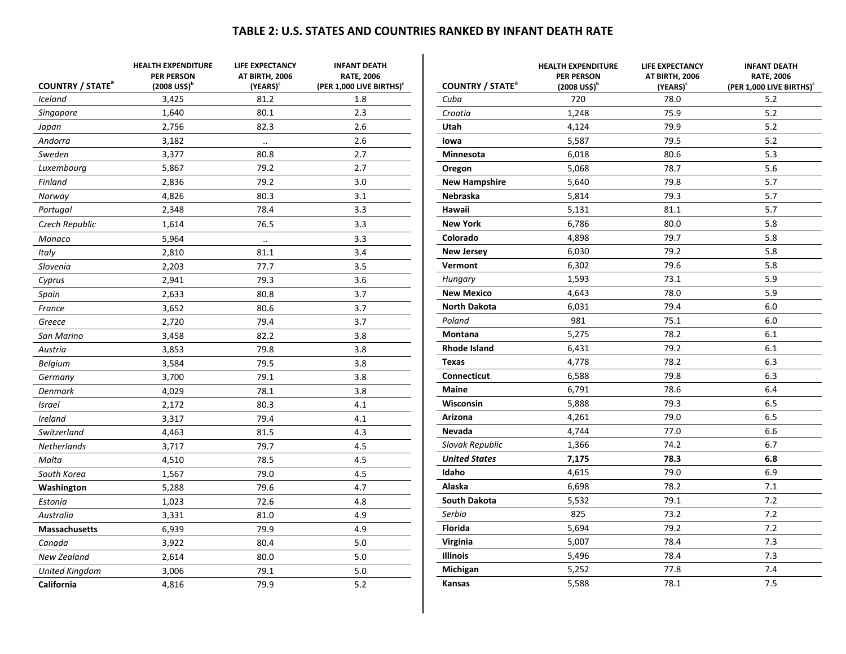### **TABLE 2: U.S. STATES AND COUNTRIES RANKED BY INFANT DEATH RATE**

| <b>COUNTRY / STATE<sup>a</sup></b> | <b>HEALTH EXPENDITURE</b><br><b>PER PERSON</b><br>$(2008 \text{ USS})^b$ | LIFE EXPECTANCY<br>AT BIRTH, 2006<br>(YEARS) <sup>c</sup> | <b>INFANT DEATH</b><br><b>RATE, 2006</b><br>(PER 1,000 LIVE BIRTHS) <sup>c</sup> | <b>COUNTRY / STATE</b> <sup>a</sup> | <b>HEALTH EXPENDITURE</b><br><b>PER PERSON</b><br>$(2008 \text{ USS})^b$ | <b>LIFE EXPECTANCY</b><br>AT BIRTH, 2006<br>(YEARS) | <b>INFANT DEATH</b><br><b>RATE, 2006</b><br>(PER 1,000 LIVE BIRTHS) <sup>c</sup> |
|------------------------------------|--------------------------------------------------------------------------|-----------------------------------------------------------|----------------------------------------------------------------------------------|-------------------------------------|--------------------------------------------------------------------------|-----------------------------------------------------|----------------------------------------------------------------------------------|
| Iceland                            | 3,425                                                                    | 81.2                                                      | 1.8                                                                              | Cuba                                | 720                                                                      | 78.0                                                | 5.2                                                                              |
| <b>Singapore</b>                   | 1,640                                                                    | 80.1                                                      | 2.3                                                                              | Croatia                             | 1,248                                                                    | 75.9                                                | 5.2                                                                              |
| Japan                              | 2,756                                                                    | 82.3                                                      | 2.6                                                                              | Utah                                | 4,124                                                                    | 79.9                                                | $5.2$                                                                            |
| Andorra                            | 3,182                                                                    | $\ldots$                                                  | 2.6                                                                              | lowa                                | 5,587                                                                    | 79.5                                                | 5.2                                                                              |
| Sweden                             | 3,377                                                                    | 80.8                                                      | 2.7                                                                              | Minnesota                           | 6,018                                                                    | 80.6                                                | 5.3                                                                              |
| Luxembourg                         | 5,867                                                                    | 79.2                                                      | 2.7                                                                              | Oregon                              | 5,068                                                                    | 78.7                                                | 5.6                                                                              |
| Finland                            | 2,836                                                                    | 79.2                                                      | 3.0                                                                              | <b>New Hampshire</b>                | 5,640                                                                    | 79.8                                                | 5.7                                                                              |
| Norway                             | 4,826                                                                    | 80.3                                                      | 3.1                                                                              | Nebraska                            | 5,814                                                                    | 79.3                                                | 5.7                                                                              |
| Portugal                           | 2,348                                                                    | 78.4                                                      | 3.3                                                                              | Hawaii                              | 5,131                                                                    | 81.1                                                | 5.7                                                                              |
| Czech Republic                     | 1,614                                                                    | 76.5                                                      | 3.3                                                                              | <b>New York</b>                     | 6,786                                                                    | 80.0                                                | 5.8                                                                              |
| Monaco                             | 5,964                                                                    | $\ddotsc$                                                 | 3.3                                                                              | Colorado                            | 4,898                                                                    | 79.7                                                | 5.8                                                                              |
| Italy                              | 2,810                                                                    | 81.1                                                      | 3.4                                                                              | <b>New Jersey</b>                   | 6,030                                                                    | 79.2                                                | 5.8                                                                              |
| Slovenia                           | 2,203                                                                    | 77.7                                                      | 3.5                                                                              | Vermont                             | 6,302                                                                    | 79.6                                                | 5.8                                                                              |
| Cyprus                             | 2,941                                                                    | 79.3                                                      | 3.6                                                                              | Hungary                             | 1,593                                                                    | 73.1                                                | 5.9                                                                              |
| Spain                              | 2,633                                                                    | 80.8                                                      | 3.7                                                                              | <b>New Mexico</b>                   | 4,643                                                                    | 78.0                                                | 5.9                                                                              |
| France                             | 3,652                                                                    | 80.6                                                      | 3.7                                                                              | <b>North Dakota</b>                 | 6,031                                                                    | 79.4                                                | 6.0                                                                              |
| Greece                             | 2,720                                                                    | 79.4                                                      | 3.7                                                                              | Poland                              | 981                                                                      | 75.1                                                | 6.0                                                                              |
| San Marino                         | 3,458                                                                    | 82.2                                                      | 3.8                                                                              | <b>Montana</b>                      | 5,275                                                                    | 78.2                                                | 6.1                                                                              |
| Austria                            | 3,853                                                                    | 79.8                                                      | 3.8                                                                              | <b>Rhode Island</b>                 | 6,431                                                                    | 79.2                                                | 6.1                                                                              |
| <b>Belgium</b>                     | 3,584                                                                    | 79.5                                                      | 3.8                                                                              | <b>Texas</b>                        | 4,778                                                                    | 78.2                                                | 6.3                                                                              |
| Germany                            | 3,700                                                                    | 79.1                                                      | 3.8                                                                              | Connecticut                         | 6,588                                                                    | 79.8                                                | 6.3                                                                              |
| Denmark                            | 4,029                                                                    | 78.1                                                      | 3.8                                                                              | <b>Maine</b>                        | 6,791                                                                    | 78.6                                                | 6.4                                                                              |
| <b>Israel</b>                      | 2,172                                                                    | 80.3                                                      | 4.1                                                                              | Wisconsin                           | 5,888                                                                    | 79.3                                                | 6.5                                                                              |
| Ireland                            | 3,317                                                                    | 79.4                                                      | 4.1                                                                              | Arizona                             | 4,261                                                                    | 79.0                                                | 6.5                                                                              |
| Switzerland                        | 4,463                                                                    | 81.5                                                      | 4.3                                                                              | Nevada                              | 4,744                                                                    | 77.0                                                | 6.6                                                                              |
| <b>Netherlands</b>                 | 3,717                                                                    | 79.7                                                      | 4.5                                                                              | Slovak Republic                     | 1,366                                                                    | 74.2                                                | 6.7                                                                              |
| Malta                              | 4,510                                                                    | 78.5                                                      | 4.5                                                                              | <b>United States</b>                | 7,175                                                                    | 78.3                                                | 6.8                                                                              |
| South Korea                        | 1,567                                                                    | 79.0                                                      | 4.5                                                                              | Idaho                               | 4,615                                                                    | 79.0                                                | 6.9                                                                              |
| Washington                         | 5,288                                                                    | 79.6                                                      | 4.7                                                                              | Alaska                              | 6,698                                                                    | 78.2                                                | 7.1                                                                              |
| Estonia                            | 1,023                                                                    | 72.6                                                      | 4.8                                                                              | <b>South Dakota</b>                 | 5,532                                                                    | 79.1                                                | 7.2                                                                              |
| Australia                          | 3,331                                                                    | 81.0                                                      | 4.9                                                                              | Serbia                              | 825                                                                      | 73.2                                                | 7.2                                                                              |
| <b>Massachusetts</b>               | 6,939                                                                    | 79.9                                                      | 4.9                                                                              | <b>Florida</b>                      | 5,694                                                                    | 79.2                                                | 7.2                                                                              |
| Canada                             | 3,922                                                                    | 80.4                                                      | 5.0                                                                              | Virginia                            | 5,007                                                                    | 78.4                                                | 7.3                                                                              |
| New Zealand                        | 2,614                                                                    | 80.0                                                      | 5.0                                                                              | <b>Illinois</b>                     | 5,496                                                                    | 78.4                                                | 7.3                                                                              |
| <b>United Kingdom</b>              | 3,006                                                                    | 79.1                                                      | 5.0                                                                              | Michigan                            | 5,252                                                                    | 77.8                                                | 7.4                                                                              |
| California                         | 4,816                                                                    | 79.9                                                      | 5.2                                                                              | <b>Kansas</b>                       | 5,588                                                                    | 78.1                                                | 7.5                                                                              |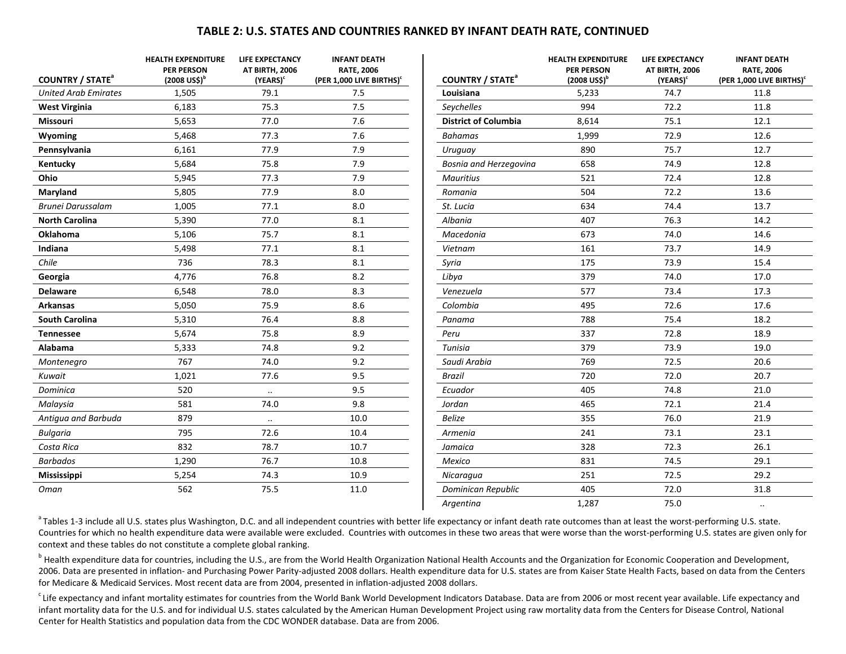### **TABLE 2: U.S. STATES AND COUNTRIES RANKED BY INFANT DEATH RATE, CONTINUED**

| <b>COUNTRY / STATE<sup>a</sup></b> | <b>HEALTH EXPENDITURE</b><br><b>PER PERSON</b><br>$(2008 \text{ US}$ \$) <sup>b</sup> | LIFE EXPECTANCY<br>AT BIRTH, 2006<br>(YEARS) <sup>c</sup> | <b>INFANT DEATH</b><br><b>RATE, 2006</b><br>(PER 1,000 LIVE BIRTHS) <sup>c</sup> | <b>COUNTRY / STATE<sup>a</sup></b> |
|------------------------------------|---------------------------------------------------------------------------------------|-----------------------------------------------------------|----------------------------------------------------------------------------------|------------------------------------|
| <b>United Arab Emirates</b>        | 1,505                                                                                 | 79.1                                                      | 7.5                                                                              | Louisiana                          |
| <b>West Virginia</b>               | 6,183                                                                                 | 75.3                                                      | 7.5                                                                              | Seychelles                         |
| <b>Missouri</b>                    | 5,653                                                                                 | 77.0                                                      | 7.6                                                                              | <b>District of Columbia</b>        |
| Wyoming                            | 5,468                                                                                 | 77.3                                                      | 7.6                                                                              | <b>Bahamas</b>                     |
| Pennsylvania                       | 6,161                                                                                 | 77.9                                                      | 7.9                                                                              | Uruguay                            |
| Kentucky                           | 5,684                                                                                 | 75.8                                                      | 7.9                                                                              | <b>Bosnia and Herzegoving</b>      |
| Ohio                               | 5,945                                                                                 | 77.3                                                      | 7.9                                                                              | <b>Mauritius</b>                   |
| Maryland                           | 5,805                                                                                 | 77.9                                                      | 8.0                                                                              | Romania                            |
| <b>Brunei Darussalam</b>           | 1,005                                                                                 | 77.1                                                      | 8.0                                                                              | St. Lucia                          |
| <b>North Carolina</b>              | 5,390                                                                                 | 77.0                                                      | 8.1                                                                              | Albania                            |
| <b>Oklahoma</b>                    | 5,106                                                                                 | 75.7                                                      | 8.1                                                                              | Macedonia                          |
| Indiana                            | 5,498                                                                                 | 77.1                                                      | 8.1                                                                              | Vietnam                            |
| Chile                              | 736                                                                                   | 78.3                                                      | 8.1                                                                              | Syria                              |
| Georgia                            | 4,776                                                                                 | 76.8                                                      | 8.2                                                                              | Libya                              |
| <b>Delaware</b>                    | 6,548                                                                                 | 78.0                                                      | 8.3                                                                              | Venezuela                          |
| <b>Arkansas</b>                    | 5,050                                                                                 | 75.9                                                      | 8.6                                                                              | Colombia                           |
| <b>South Carolina</b>              | 5,310                                                                                 | 76.4                                                      | 8.8                                                                              | Panama                             |
| <b>Tennessee</b>                   | 5,674                                                                                 | 75.8                                                      | 8.9                                                                              | Peru                               |
| Alabama                            | 5,333                                                                                 | 74.8                                                      | 9.2                                                                              | Tunisia                            |
| Montenegro                         | 767                                                                                   | 74.0                                                      | 9.2                                                                              | Saudi Arabia                       |
| Kuwait                             | 1,021                                                                                 | 77.6                                                      | 9.5                                                                              | <b>Brazil</b>                      |
| Dominica                           | 520                                                                                   |                                                           | 9.5                                                                              | Ecuador                            |
| Malaysia                           | 581                                                                                   | 74.0                                                      | 9.8                                                                              | Jordan                             |
| Antiqua and Barbuda                | 879                                                                                   | $\ddotsc$                                                 | 10.0                                                                             | <b>Belize</b>                      |
| <b>Bulgaria</b>                    | 795                                                                                   | 72.6                                                      | 10.4                                                                             | Armenia                            |
| Costa Rica                         | 832                                                                                   | 78.7                                                      | 10.7                                                                             | Jamaica                            |
| <b>Barbados</b>                    | 1,290                                                                                 | 76.7                                                      | 10.8                                                                             | Mexico                             |
| <b>Mississippi</b>                 | 5,254                                                                                 | 74.3                                                      | 10.9                                                                             | Nicaragua                          |
| Oman                               | 562                                                                                   | 75.5                                                      | 11.0                                                                             | Dominican Republic                 |

|                                    | <b>HEALTH EXPENDITURE</b>           | <b>LIFE EXPECTANCY</b> | <b>INFANT DEATH</b>                  |
|------------------------------------|-------------------------------------|------------------------|--------------------------------------|
|                                    | <b>PER PERSON</b>                   | AT BIRTH, 2006         | <b>RATE, 2006</b>                    |
| <b>COUNTRY / STATE<sup>a</sup></b> | $(2008 \text{ US}^{\circ})^{\circ}$ | (YEARS) <sup>c</sup>   | (PER 1,000 LIVE BIRTHS) <sup>c</sup> |
| Louisiana                          | 5,233                               | 74.7                   | 11.8                                 |
| Seychelles                         | 994                                 | 72.2                   | 11.8                                 |
| <b>District of Columbia</b>        | 8,614                               | 75.1                   | 12.1                                 |
| <b>Bahamas</b>                     | 1,999                               | 72.9                   | 12.6                                 |
| Uruguay                            | 890                                 | 75.7                   | 12.7                                 |
| Bosnia and Herzegovina             | 658                                 | 74.9                   | 12.8                                 |
| <b>Mauritius</b>                   | 521                                 | 72.4                   | 12.8                                 |
| Romania                            | 504                                 | 72.2                   | 13.6                                 |
| St. Lucia                          | 634                                 | 74.4                   | 13.7                                 |
| Albania                            | 407                                 | 76.3                   | 14.2                                 |
| Macedonia                          | 673                                 | 74.0                   | 14.6                                 |
| Vietnam                            | 161                                 | 73.7                   | 14.9                                 |
| Syria                              | 175                                 | 73.9                   | 15.4                                 |
| Libya                              | 379                                 | 74.0                   | 17.0                                 |
| Venezuela                          | 577                                 | 73.4                   | 17.3                                 |
| Colombia                           | 495                                 | 72.6                   | 17.6                                 |
| Panama                             | 788                                 | 75.4                   | 18.2                                 |
| Peru                               | 337                                 | 72.8                   | 18.9                                 |
| Tunisia                            | 379                                 | 73.9                   | 19.0                                 |
| Saudi Arabia                       | 769                                 | 72.5                   | 20.6                                 |
| <b>Brazil</b>                      | 720                                 | 72.0                   | 20.7                                 |
| Ecuador                            | 405                                 | 74.8                   | 21.0                                 |
| Jordan                             | 465                                 | 72.1                   | 21.4                                 |
| <b>Belize</b>                      | 355                                 | 76.0                   | 21.9                                 |
| Armenia                            | 241                                 | 73.1                   | 23.1                                 |
| Jamaica                            | 328                                 | 72.3                   | 26.1                                 |
| Mexico                             | 831                                 | 74.5                   | 29.1                                 |
| Nicaragua                          | 251                                 | 72.5                   | 29.2                                 |
| Dominican Republic                 | 405                                 | 72.0                   | 31.8                                 |
| Argentina                          | 1,287                               | 75.0                   | $\cdot \cdot$                        |

<sup>a</sup> Tables 1-3 include all U.S. states plus Washington, D.C. and all independent countries with better life expectancy or infant death rate outcomes than at least the worst‐performing U.S. state. Countries for which no health expenditure data were available were excluded. Countries with outcomes in these two areas that were worse than the worst‐performing U.S. states are given only for context and these tables do not constitute <sup>a</sup> complete global ranking.

<sup>b</sup> Health expenditure data for countries, including the U.S., are from the World Health Organization National Health Accounts and the Organization for Economic Cooperation and Development, 2006. Data are presented in inflation‐ and Purchasing Power Parity‐adjusted 2008 dollars. Health expenditure data for U.S. states are from Kaiser State Health Facts, based on data from the Centers for Medicare & Medicaid Services. Most recent data are from 2004, presented in inflation‐adjusted 2008 dollars.

<sup>c</sup> Life expectancy and infant mortality estimates for countries from the World Bank World Development Indicators Database. Data are from 2006 or most recent year available. Life expectancy and infant mortality data for the U.S. and for individual U.S. states calculated by the American Human Development Project using raw mortality data from the Centers for Disease Control, National Center for Health Statistics and population data from the CDC WONDER database. Data are from 2006.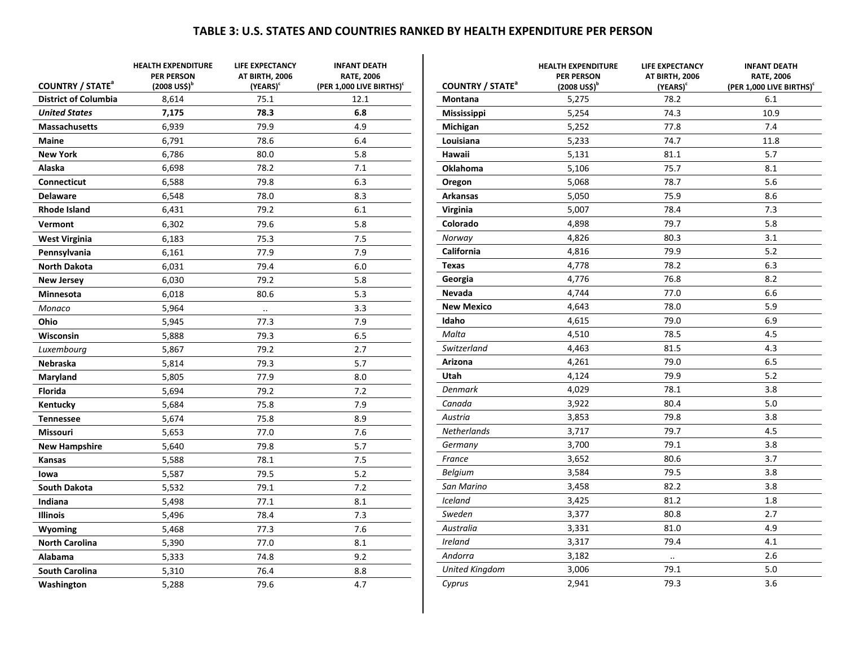### **TABLE 3: U.S. STATES AND COUNTRIES RANKED BY HEALTH EXPENDITURE PER PERSON**

|                                                                   | <b>HEALTH EXPENDITURE</b><br><b>PER PERSON</b> | <b>LIFE EXPECTANCY</b><br>AT BIRTH, 2006 | <b>INFANT DEATH</b><br><b>RATE, 2006</b>     |                                                      | <b>HEALTH EXPENDITURE</b><br><b>PER PERSON</b> | <b>LIFE EXPECTANCY</b><br>AT BIRTH, 2006 | <b>INFANT DEATH</b><br><b>RATE, 2006</b>    |
|-------------------------------------------------------------------|------------------------------------------------|------------------------------------------|----------------------------------------------|------------------------------------------------------|------------------------------------------------|------------------------------------------|---------------------------------------------|
| <b>COUNTRY / STATE<sup>a</sup></b><br><b>District of Columbia</b> | $(2008 \text{ USS})^b$<br>8,614                | (YEARS) <sup>c</sup><br>75.1             | (PER 1,000 LIVE BIRTHS) <sup>c</sup><br>12.1 | <b>COUNTRY / STATE<sup>ª</sup></b><br><b>Montana</b> | $(2008 \text{ USS})^b$<br>5,275                | (YEARS)<br>78.2                          | (PER 1,000 LIVE BIRTHS) <sup>c</sup><br>6.1 |
| <b>United States</b>                                              | 7,175                                          | 78.3                                     | 6.8                                          |                                                      | 5,254                                          | 74.3                                     | 10.9                                        |
| <b>Massachusetts</b>                                              | 6,939                                          | 79.9                                     | 4.9                                          | Mississippi                                          | 5,252                                          | 77.8                                     | 7.4                                         |
| <b>Maine</b>                                                      | 6,791                                          | 78.6                                     | 6.4                                          | Michigan                                             |                                                |                                          |                                             |
|                                                                   |                                                |                                          |                                              | Louisiana                                            | 5,233                                          | 74.7<br>81.1                             | 11.8<br>5.7                                 |
| <b>New York</b>                                                   | 6,786                                          | 80.0<br>78.2                             | 5.8<br>7.1                                   | Hawaii                                               | 5,131                                          |                                          |                                             |
| Alaska                                                            | 6,698                                          |                                          |                                              | Oklahoma                                             | 5,106                                          | 75.7                                     | 8.1                                         |
| <b>Connecticut</b>                                                | 6,588                                          | 79.8                                     | 6.3                                          | Oregon                                               | 5,068                                          | 78.7                                     | 5.6                                         |
| <b>Delaware</b>                                                   | 6,548                                          | 78.0                                     | 8.3                                          | <b>Arkansas</b>                                      | 5,050                                          | 75.9                                     | 8.6                                         |
| <b>Rhode Island</b>                                               | 6,431                                          | 79.2                                     | 6.1                                          | Virginia                                             | 5,007                                          | 78.4                                     | 7.3                                         |
| Vermont                                                           | 6,302                                          | 79.6                                     | 5.8                                          | Colorado                                             | 4,898                                          | 79.7                                     | 5.8                                         |
| <b>West Virginia</b>                                              | 6,183                                          | 75.3                                     | 7.5                                          | Norway                                               | 4,826                                          | 80.3                                     | 3.1                                         |
| Pennsylvania                                                      | 6,161                                          | 77.9                                     | 7.9                                          | California                                           | 4,816                                          | 79.9                                     | 5.2                                         |
| <b>North Dakota</b>                                               | 6,031                                          | 79.4                                     | 6.0                                          | <b>Texas</b>                                         | 4,778                                          | 78.2                                     | 6.3                                         |
| <b>New Jersey</b>                                                 | 6,030                                          | 79.2                                     | 5.8                                          | Georgia                                              | 4,776                                          | 76.8                                     | 8.2                                         |
| Minnesota                                                         | 6,018                                          | 80.6                                     | 5.3                                          | Nevada                                               | 4,744                                          | 77.0                                     | 6.6                                         |
| Monaco                                                            | 5,964                                          | $\ddot{\phantom{0}}$                     | 3.3                                          | <b>New Mexico</b>                                    | 4,643                                          | 78.0                                     | 5.9                                         |
| Ohio                                                              | 5,945                                          | 77.3                                     | 7.9                                          | Idaho                                                | 4,615                                          | 79.0                                     | 6.9                                         |
| Wisconsin                                                         | 5,888                                          | 79.3                                     | 6.5                                          | Malta                                                | 4,510                                          | 78.5                                     | 4.5                                         |
| Luxembourg                                                        | 5,867                                          | 79.2                                     | 2.7                                          | Switzerland                                          | 4,463                                          | 81.5                                     | 4.3                                         |
| Nebraska                                                          | 5,814                                          | 79.3                                     | 5.7                                          | Arizona                                              | 4,261                                          | 79.0                                     | 6.5                                         |
| Maryland                                                          | 5,805                                          | 77.9                                     | 8.0                                          | Utah                                                 | 4,124                                          | 79.9                                     | 5.2                                         |
| <b>Florida</b>                                                    | 5,694                                          | 79.2                                     | 7.2                                          | Denmark                                              | 4,029                                          | 78.1                                     | 3.8                                         |
| Kentucky                                                          | 5,684                                          | 75.8                                     | 7.9                                          | Canada                                               | 3,922                                          | 80.4                                     | 5.0                                         |
| <b>Tennessee</b>                                                  | 5,674                                          | 75.8                                     | 8.9                                          | Austria                                              | 3,853                                          | 79.8                                     | 3.8                                         |
| <b>Missouri</b>                                                   | 5,653                                          | 77.0                                     | 7.6                                          | <b>Netherlands</b>                                   | 3,717                                          | 79.7                                     | 4.5                                         |
| <b>New Hampshire</b>                                              | 5,640                                          | 79.8                                     | 5.7                                          | Germany                                              | 3,700                                          | 79.1                                     | 3.8                                         |
| Kansas                                                            | 5,588                                          | 78.1                                     | 7.5                                          | France                                               | 3,652                                          | 80.6                                     | 3.7                                         |
| lowa                                                              | 5,587                                          | 79.5                                     | 5.2                                          | <b>Belgium</b>                                       | 3,584                                          | 79.5                                     | 3.8                                         |
| <b>South Dakota</b>                                               | 5,532                                          | 79.1                                     | 7.2                                          | San Marino                                           | 3,458                                          | 82.2                                     | 3.8                                         |
| Indiana                                                           | 5,498                                          | 77.1                                     | 8.1                                          | <b>Iceland</b>                                       | 3,425                                          | 81.2                                     | 1.8                                         |
| <b>Illinois</b>                                                   | 5,496                                          | 78.4                                     | 7.3                                          | Sweden                                               | 3,377                                          | 80.8                                     | 2.7                                         |
| Wyoming                                                           | 5,468                                          | 77.3                                     | 7.6                                          | Australia                                            | 3,331                                          | 81.0                                     | 4.9                                         |
| <b>North Carolina</b>                                             | 5,390                                          | 77.0                                     | 8.1                                          | Ireland                                              | 3,317                                          | 79.4                                     | 4.1                                         |
| Alabama                                                           | 5,333                                          | 74.8                                     | 9.2                                          | Andorra                                              | 3,182                                          | $\ddot{\phantom{a}}$                     | 2.6                                         |
| <b>South Carolina</b>                                             | 5,310                                          | 76.4                                     | 8.8                                          | <b>United Kingdom</b>                                | 3,006                                          | 79.1                                     | 5.0                                         |
| Washington                                                        | 5,288                                          | 79.6                                     | 4.7                                          | Cyprus                                               | 2,941                                          | 79.3                                     | 3.6                                         |